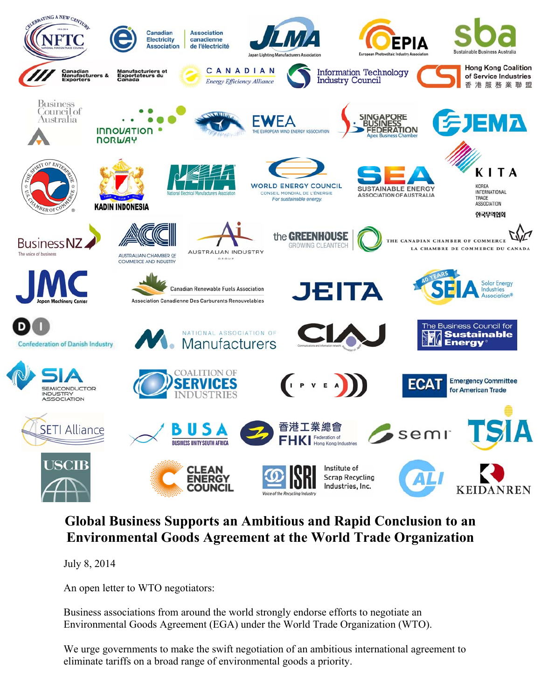

## **Global Business Supports an Ambitious and Rapid Conclusion to an Environmental Goods Agreement at the World Trade Organization**

July 8, 2014

An open letter to WTO negotiators:

Business associations from around the world strongly endorse efforts to negotiate an Environmental Goods Agreement (EGA) under the World Trade Organization (WTO).

We urge governments to make the swift negotiation of an ambitious international agreement to eliminate tariffs on a broad range of environmental goods a priority.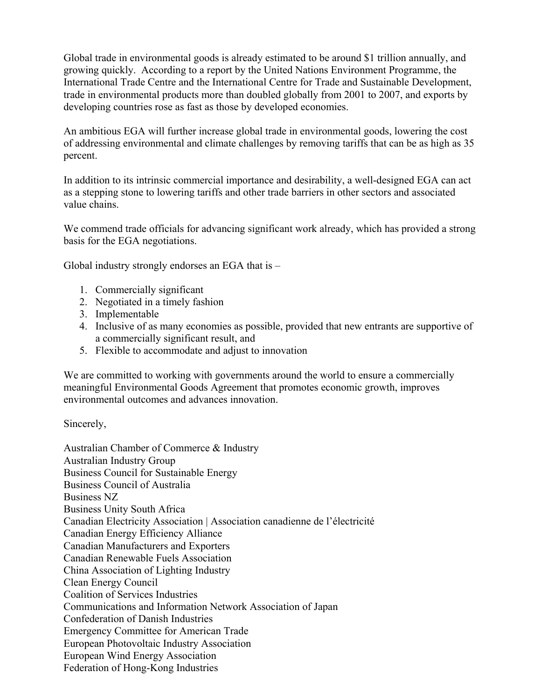Global trade in environmental goods is already estimated to be around \$1 trillion annually, and growing quickly. According to a report by the United Nations Environment Programme, the International Trade Centre and the International Centre for Trade and Sustainable Development, trade in environmental products more than doubled globally from 2001 to 2007, and exports by developing countries rose as fast as those by developed economies.

An ambitious EGA will further increase global trade in environmental goods, lowering the cost of addressing environmental and climate challenges by removing tariffs that can be as high as 35 percent.

In addition to its intrinsic commercial importance and desirability, a well-designed EGA can act as a stepping stone to lowering tariffs and other trade barriers in other sectors and associated value chains.

We commend trade officials for advancing significant work already, which has provided a strong basis for the EGA negotiations.

Global industry strongly endorses an EGA that is –

- 1. Commercially significant
- 2. Negotiated in a timely fashion
- 3. Implementable
- 4. Inclusive of as many economies as possible, provided that new entrants are supportive of a commercially significant result, and
- 5. Flexible to accommodate and adjust to innovation

We are committed to working with governments around the world to ensure a commercially meaningful Environmental Goods Agreement that promotes economic growth, improves environmental outcomes and advances innovation.

Sincerely,

Australian Chamber of Commerce & Industry Australian Industry Group Business Council for Sustainable Energy Business Council of Australia Business NZ Business Unity South Africa Canadian Electricity Association | Association canadienne de l'électricité Canadian Energy Efficiency Alliance Canadian Manufacturers and Exporters Canadian Renewable Fuels Association China Association of Lighting Industry Clean Energy Council Coalition of Services Industries Communications and Information Network Association of Japan Confederation of Danish Industries Emergency Committee for American Trade European Photovoltaic Industry Association European Wind Energy Association Federation of Hong-Kong Industries